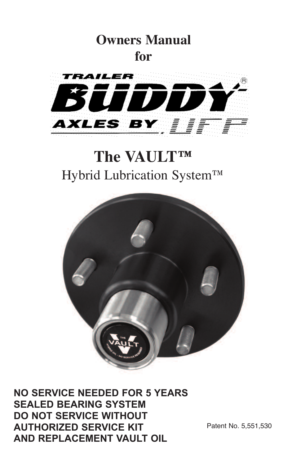

# **The VAULT™** Hybrid Lubrication System™



**NO SERVICE NEEDED FOR 5 YEARS SEALED BEARING SYSTEM DO NOT SERVICE WITHOUT AUTHORIZED SERVICE KIT AND REPLACEMENT VAULT OIL**

Patent No. 5,551,530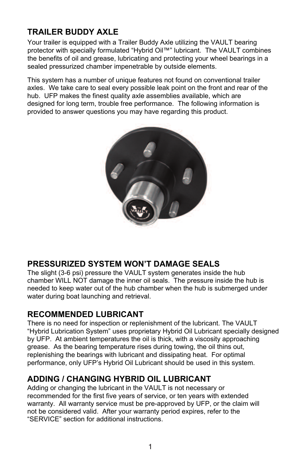# **TRAILER BUDDY AXLE**

Your trailer is equipped with a Trailer Buddy Axle utilizing the VAULT bearing protector with specially formulated "Hybrid Oil™" lubricant. The VAULT combines the benefits of oil and grease, lubricating and protecting your wheel bearings in a sealed pressurized chamber impenetrable by outside elements.

This system has a number of unique features not found on conventional trailer axles. We take care to seal every possible leak point on the front and rear of the hub. UFP makes the finest quality axle assemblies available, which are designed for long term, trouble free performance. The following information is provided to answer questions you may have regarding this product.



# **PRESSURIZED SYSTEM WON'T DAMAGE SEALS**

The slight (3-6 psi) pressure the VAULT system generates inside the hub chamber WILL NOT damage the inner oil seals. The pressure inside the hub is needed to keep water out of the hub chamber when the hub is submerged under water during boat launching and retrieval.

## **RECOMMENDED LUBRICANT**

There is no need for inspection or replenishment of the lubricant. The VAULT "Hybrid Lubrication System" uses proprietary Hybrid Oil Lubricant specially designed by UFP. At ambient temperatures the oil is thick, with a viscosity approaching grease. As the bearing temperature rises during towing, the oil thins out, replenishing the bearings with lubricant and dissipating heat. For optimal performance, only UFP's Hybrid Oil Lubricant should be used in this system.

# **ADDING / CHANGING HYBRID OIL LUBRICANT**

Adding or changing the lubricant in the VAULT is not necessary or recommended for the first five years of service, or ten years with extended warranty. All warranty service must be pre-approved by UFP, or the claim will not be considered valid. After your warranty period expires, refer to the "SERVICE" section for additional instructions.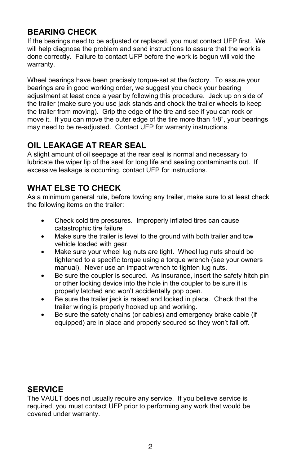# **BEARING CHECK**

If the bearings need to be adjusted or replaced, you must contact UFP first. We will help diagnose the problem and send instructions to assure that the work is done correctly. Failure to contact UFP before the work is begun will void the warranty.

Wheel bearings have been precisely torque-set at the factory. To assure your bearings are in good working order, we suggest you check your bearing adjustment at least once a year by following this procedure. Jack up on side of the trailer (make sure you use jack stands and chock the trailer wheels to keep the trailer from moving). Grip the edge of the tire and see if you can rock or move it. If you can move the outer edge of the tire more than 1/8", your bearings may need to be re-adjusted. Contact UFP for warranty instructions.

# **OIL LEAKAGE AT REAR SEAL**

A slight amount of oil seepage at the rear seal is normal and necessary to lubricate the wiper lip of the seal for long life and sealing contaminants out. If excessive leakage is occurring, contact UFP for instructions.

# **WHAT ELSE TO CHECK**

As a minimum general rule, before towing any trailer, make sure to at least check the following items on the trailer:

- Check cold tire pressures. Improperly inflated tires can cause catastrophic tire failure
- Make sure the trailer is level to the ground with both trailer and tow vehicle loaded with gear.
- Make sure your wheel lug nuts are tight. Wheel lug nuts should be tightened to a specific torque using a torque wrench (see your owners manual). Never use an impact wrench to tighten lug nuts.
- Be sure the coupler is secured. As insurance, insert the safety hitch pin or other locking device into the hole in the coupler to be sure it is properly latched and won't accidentally pop open.
- Be sure the trailer jack is raised and locked in place. Check that the trailer wiring is properly hooked up and working.
- Be sure the safety chains (or cables) and emergency brake cable (if equipped) are in place and properly secured so they won't fall off.

# **SERVICE**

The VAULT does not usually require any service. If you believe service is required, you must contact UFP prior to performing any work that would be covered under warranty.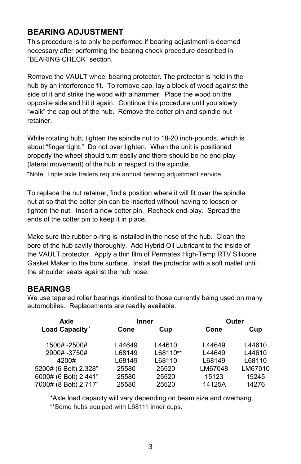# **BEARING ADJUSTMENT**

This procedure is to only be performed if bearing adjustment is deemed necessary after performing the bearing check procedure described in "BEARING CHECK" section.

Remove the VAULT wheel bearing protector. The protector is held in the hub by an interference fit. To remove cap, lay a block of wood against the side of it and strike the wood with a hammer. Place the wood on the opposite side and hit it again. Continue this procedure until you slowly "walk" the cap out of the hub. Remove the cotter pin and spindle nut retainer.

While rotating hub, tighten the spindle nut to 18-20 inch-pounds, which is about "finger tight." Do not over tighten. When the unit is positioned properly the wheel should turn easily and there should be no end-play (lateral movement) of the hub in respect to the spindle.

\*Note: Triple axle trailers require annual bearing adjustment service.

 nut at so that the cotter pin can be inserted without having to loosen or To replace the nut retainer, find a position where it will fit over the spindle tighten the nut. Insert a new cotter pin. Recheck end-play. Spread the ends of the cotter pin to keep it in place.

Make sure the rubber o-ring is installed in the nose of the hub. Clean the bore of the hub cavity thoroughly. Add Hybrid Oil Lubricant to the inside of the VAULT protector. Apply a thin film of Permatex High-Temp RTV Silicone Gasket Maker to the bore surface. Install the protector with a soft mallet until the shoulder seats against the hub nose.

## **BEARINGS**

 We use tapered roller bearings identical to those currently being used on many automobiles. Replacements are readily available.

| Axle                  | <b>Inner</b> |          |         | Outer   |
|-----------------------|--------------|----------|---------|---------|
| Load Capacity*        | Cone         | Cup      | Cone    | Cup     |
| 1500#-2500#           | L44649       | L44610   | L44649  | L44610  |
| 2900# -3750#          | L68149       | L68110** | L44649  | L44610  |
| 4200#                 | L68149       | L68110   | L68149  | L68110  |
| 5200# (6 Bolt) 2.328" | 25580        | 25520    | LM67048 | LM67010 |
| 6000# (6 Bolt) 2.441" | 25580        | 25520    | 15123   | 15245   |
| 7000# (8 Bolt) 2.717" | 25580        | 25520    | 14125A  | 14276   |

\*Axle load capacity will vary depending on beam size and overhang. \*\*Some hubs equiped with L68111 inner cups.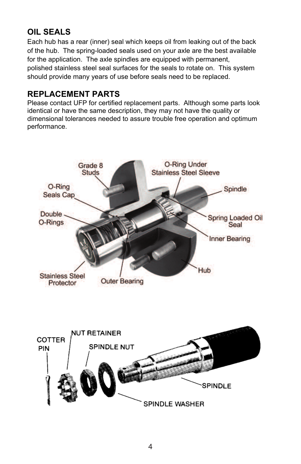# **OIL SEALS**

Each hub has a rear (inner) seal which keeps oil from leaking out of the back of the hub. The spring-loaded seals used on your axle are the best available for the application. The axle spindles are equipped with permanent, polished stainless steel seal surfaces for the seals to rotate on. This system should provide many years of use before seals need to be replaced.

### **REPLACEMENT PARTS**

Please contact UFP for certified replacement parts. Although some parts look identical or have the same description, they may not have the quality or dimensional tolerances needed to assure trouble free operation and optimum performance.

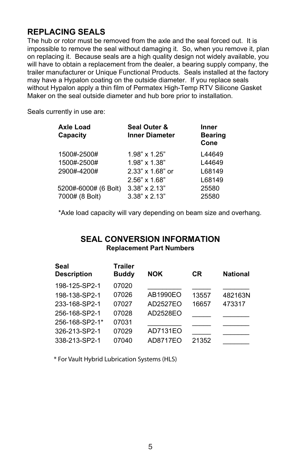## **REPLACING SEALS**

The hub or rotor must be removed from the axle and the seal forced out. It is impossible to remove the seal without damaging it. So, when you remove it, plan on replacing it. Because seals are a high quality design not widely available, you will have to obtain a replacement from the dealer, a bearing supply company, the trailer manufacturer or Unique Functional Products. Seals installed at the factory may have a Hypalon coating on the outside diameter. If you replace seals without Hypalon apply a thin film of Permatex High-Temp RTV Silicone Gasket Maker on the seal outside diameter and hub bore prior to installation.

Seals currently in use are:

| <b>Axle Load</b><br>Capacity | Seal Outer &<br><b>Inner Diameter</b> | <b>Inner</b><br><b>Bearing</b><br>Cone |
|------------------------------|---------------------------------------|----------------------------------------|
| 1500#-2500#                  | $1.98" \times 1.25"$                  | L44649                                 |
| 1500#-2500#                  | $1.98" \times 1.38"$                  | L44649                                 |
| 2900#-4200#                  | $2.33" \times 1.68"$ or               | L68149                                 |
|                              | $2.56" \times 1.68"$                  | L68149                                 |
| 5200#-6000# (6 Bolt)         | $3.38" \times 2.13"$                  | 25580                                  |
| 7000# (8 Bolt)               | $3.38" \times 2.13"$                  | 25580                                  |

\*Axle load capacity will vary depending on beam size and overhang.

#### **SEAL CONVERSION INFORMATION Replacement Part Numbers**

| Seal<br><b>Description</b> | Trailer<br><b>Buddy</b> | <b>NOK</b> | СR    | <b>National</b> |
|----------------------------|-------------------------|------------|-------|-----------------|
| 198-125-SP2-1              | 07020                   |            |       |                 |
| 198-138-SP2-1              | 07026                   | AB1990EO   | 13557 | 482163N         |
| 233-168-SP2-1              | 07027                   | AD2527EO   | 16657 | 473317          |
| 256-168-SP2-1              | 07028                   | AD2528EO   |       |                 |
| 256-168-SP2-1*             | 07031                   |            |       |                 |
| 326-213-SP2-1              | 07029                   | AD7131EO   |       |                 |
| 338-213-SP2-1              | 07040                   | AD8717EO   | 21352 |                 |
|                            |                         |            |       |                 |

\* For Vault Hybrid Lubrication Systems (HLS)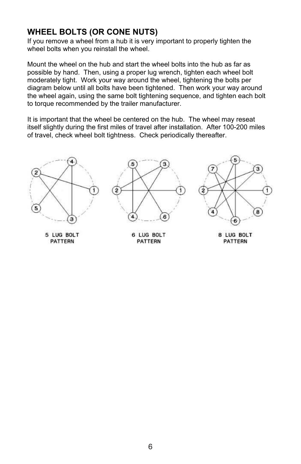## **WHEEL BOLTS (OR CONE NUTS)**

If you remove a wheel from a hub it is very important to properly tighten the wheel bolts when you reinstall the wheel.

Mount the wheel on the hub and start the wheel bolts into the hub as far as possible by hand. Then, using a proper lug wrench, tighten each wheel bolt moderately tight. Work your way around the wheel, tightening the bolts per diagram below until all bolts have been tightened. Then work your way around the wheel again, using the same bolt tightening sequence, and tighten each bolt to torque recommended by the trailer manufacturer.

It is important that the wheel be centered on the hub. The wheel may reseat itself slightly during the first miles of travel after installation. After 100-200 miles of travel, check wheel bolt tightness. Check periodically thereafter.

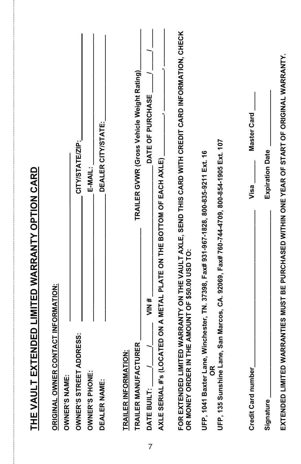| THE VAULT EXTENDED LIMITED WARRANTY OPTION CARD                                                                                                        |                                            |
|--------------------------------------------------------------------------------------------------------------------------------------------------------|--------------------------------------------|
| CONTACT INFORMATION:<br><b>ORIGINAL OWNER</b>                                                                                                          |                                            |
| <b>OWNER'S NAME:</b>                                                                                                                                   |                                            |
| <b>ADDRESS:</b><br><b>OWNER'S STREET</b>                                                                                                               | CITY/STATE/ZIP:                            |
| <b>OWNER'S PHONE:</b>                                                                                                                                  | $E-MAIL$                                   |
| DEALER NAME:                                                                                                                                           | DEALER CITY/STATE:                         |
| TRAILER INFORMATION:                                                                                                                                   |                                            |
| TRAILER MANUFACTURER                                                                                                                                   | TRAILER GVWR (Gross Vehicle Weight Rating) |
| WIN#<br>DATE BUILT:<br>7                                                                                                                               | DATE OF PURCHASE                           |
| AXLE SERIAL #'s (LOCATED ON A METAL PLATE ON THE BOTTOM OF EACH AXLE)                                                                                  |                                            |
|                                                                                                                                                        |                                            |
| FOR EXTENDED LIMITED WARRANTY ON THE VAULT AXLE, SEND THIS CARD WITH CREDIT CARD INFORMATION, CHECK<br>OR MONEY ORDER IN THE AMOUNT OF \$50.00 USD TO: |                                            |
|                                                                                                                                                        |                                            |
| UFP, 1041 Baxter Lane, Winchester, TN. 37398, Fax# 931-967-1828, 800-835-9211 Ext. 16<br>င်္                                                           |                                            |
| Lane, San Marcos, CA. 92069, Fax# 760-744-4709, 800-854-1905 Ext. 107<br>UFP, 135 Sunshine                                                             |                                            |
|                                                                                                                                                        |                                            |
| Visa <sub>.</sub><br>Credit Card number                                                                                                                | <b>Master Card</b>                         |
| Signature <sub>-</sub>                                                                                                                                 | <b>Expiration Date</b>                     |
| EXTENDED LIMITED WARRANTIES MUST BE PURCHASED WITHIN ONE YEAR OF START OF ORIGINAL WARRANTY.                                                           |                                            |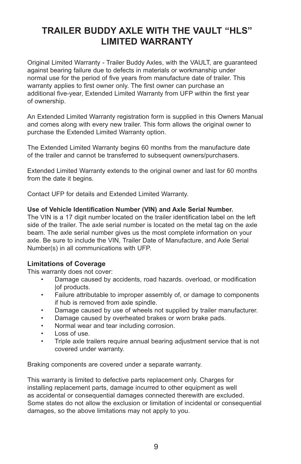# **TRAILER BUDDY AXLE WITH THE VAULT "HLS" LIMITED WARRANTY**

Original Limited Warranty - Trailer Buddy Axles, with the VAULT, are guaranteed against bearing failure due to defects in materials or workmanship under normal use for the period of five years from manufacture date of trailer. This warranty applies to first owner only. The first owner can purchase an additional five-year, Extended Limited Warranty from UFP within the first year of ownership.

An Extended Limited Warranty registration form is supplied in this Owners Manual and comes along with every new trailer. This form allows the original owner to purchase the Extended Limited Warranty option.

The Extended Limited Warranty begins 60 months from the manufacture date of the trailer and cannot be transferred to subsequent owners/purchasers.

Extended Limited Warranty extends to the original owner and last for 60 months from the date it begins.

Contact UFP for details and Extended Limited Warranty.

#### **Use of Vehicle Identification Number (VIN) and Axle Serial Number.**

The VIN is a 17 digit number located on the trailer identification label on the left side of the trailer. The axle serial number is located on the metal tag on the axle beam. The axle serial number gives us the most complete information on your axle. Be sure to include the VIN, Trailer Date of Manufacture, and Axle Serial Number(s) in all communications with UFP.

#### **Limitations of Coverage**

This warranty does not cover:

- Damage caused by accidents, road hazards. overload, or modification lof products.
- Failure attributable to improper assembly of, or damage to components if hub is removed from axle spindle.
- Damage caused by use of wheels not supplied by trailer manufacturer.
- Damage caused by overheated brakes or worn brake pads.
- Normal wear and tear including corrosion.
- Loss of use.
- Triple axle trailers require annual bearing adjustment service that is not covered under warranty.

Braking components are covered under a separate warranty.

This warranty is limited to defective parts replacement only. Charges for installing replacement parts, damage incurred to other equipment as well as accidental or consequential damages connected therewith are excluded. Some states do not allow the exclusion or limitation of incidental or consequential damages, so the above limitations may not apply to you.